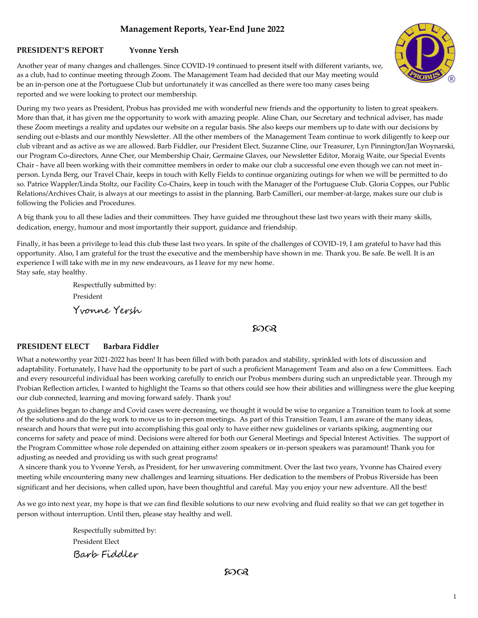# **Management Reports, Year-End June 2022**

## **PRESIDENT'S REPORT Yvonne Yersh**

Another year of many changes and challenges. Since COVID-19 continued to present itself with different variants, we, as a club, had to continue meeting through Zoom. The Management Team had decided that our May meeting would be an in-person one at the Portuguese Club but unfortunately it was cancelled as there were too many cases being reported and we were looking to protect our membership.



A big thank you to all these ladies and their committees. They have guided me throughout these last two years with their many skills, dedication, energy, humour and most importantly their support, guidance and friendship.

Finally, it has been a privilege to lead this club these last two years. In spite of the challenges of COVID-19, I am grateful to have had this opportunity. Also, I am grateful for the trust the executive and the membership have shown in me. Thank you. Be safe. Be well. It is an experience I will take with me in my new endeavours, as I leave for my new home. Stay safe, stay healthy.

> Respectfully submitted by: President Yvonne Yersh

# ഗ്രൈ

## **PRESIDENT ELECT Barbara Fiddler**

What a noteworthy year 2021-2022 has been! It has been filled with both paradox and stability, sprinkled with lots of discussion and adaptability. Fortunately, I have had the opportunity to be part of such a proficient Management Team and also on a few Committees. Each and every resourceful individual has been working carefully to enrich our Probus members during such an unpredictable year. Through my Probian Reflection articles, I wanted to highlight the Teams so that others could see how their abilities and willingness were the glue keeping our club connected, learning and moving forward safely. Thank you!

As guidelines began to change and Covid cases were decreasing, we thought it would be wise to organize a Transition team to look at some of the solutions and do the leg work to move us to in-person meetings. As part of this Transition Team, I am aware of the many ideas, research and hours that were put into accomplishing this goal only to have either new guidelines or variants spiking, augmenting our concerns for safety and peace of mind. Decisions were altered for both our General Meetings and Special Interest Activities. The support of the Program Committee whose role depended on attaining either zoom speakers or in-person speakers was paramount! Thank you for adjusting as needed and providing us with such great programs!

A sincere thank you to Yvonne Yersh, as President, for her unwavering commitment. Over the last two years, Yvonne has Chaired every meeting while encountering many new challenges and learning situations. Her dedication to the members of Probus Riverside has been significant and her decisions, when called upon, have been thoughtful and careful. May you enjoy your new adventure. All the best!

As we go into next year, my hope is that we can find flexible solutions to our new evolving and fluid reality so that we can get together in person without interruption. Until then, please stay healthy and well.

> Respectfully submitted by: President Elect Barb Fiddler

> > ഗ്രൈ

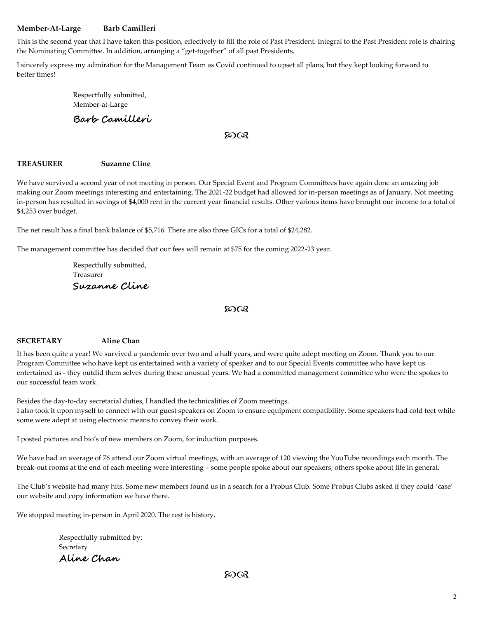# **Member-At-Large Barb Camilleri**

This is the second year that I have taken this position, effectively to fill the role of Past President. Integral to the Past President role is chairing the Nominating Committee. In addition, arranging a "get-together" of all past Presidents.

I sincerely express my admiration for the Management Team as Covid continued to upset all plans, but they kept looking forward to better times!

> Respectfully submitted, Member-at-Large

**Barb Camilleri**

## တလ

#### **TREASURER Suzanne Cline**

We have survived a second year of not meeting in person. Our Special Event and Program Committees have again done an amazing job making our Zoom meetings interesting and entertaining. The 2021-22 budget had allowed for in-person meetings as of January. Not meeting in-person has resulted in savings of \$4,000 rent in the current year financial results. Other various items have brought our income to a total of \$4,253 over budget.

The net result has a final bank balance of \$5,716. There are also three GICs for a total of \$24,282.

The management committee has decided that our fees will remain at \$75 for the coming 2022-23 year.

Respectfully submitted, Treasurer **Suzanne Cline**

#### ഩൟ

## **SECRETARY Aline Chan**

It has been quite a year! We survived a pandemic over two and a half years, and were quite adept meeting on Zoom. Thank you to our Program Committee who have kept us entertained with a variety of speaker and to our Special Events committee who have kept us entertained us - they outdid them selves during these unusual years. We had a committed management committee who were the spokes to our successful team work.

Besides the day-to-day secretarial duties, I handled the technicalities of Zoom meetings. I also took it upon myself to connect with our guest speakers on Zoom to ensure equipment compatibility. Some speakers had cold feet while some were adept at using electronic means to convey their work.

I posted pictures and bio's of new members on Zoom, for induction purposes.

We have had an average of 76 attend our Zoom virtual meetings, with an average of 120 viewing the YouTube recordings each month. The break-out rooms at the end of each meeting were interesting – some people spoke about our speakers; others spoke about life in general.

The Club's website had many hits. Some new members found us in a search for a Probus Club. Some Probus Clubs asked if they could 'case' our website and copy information we have there.

We stopped meeting in-person in April 2020. The rest is history.

Respectfully submitted by: Secretary **Aline Chan**

ഩൟ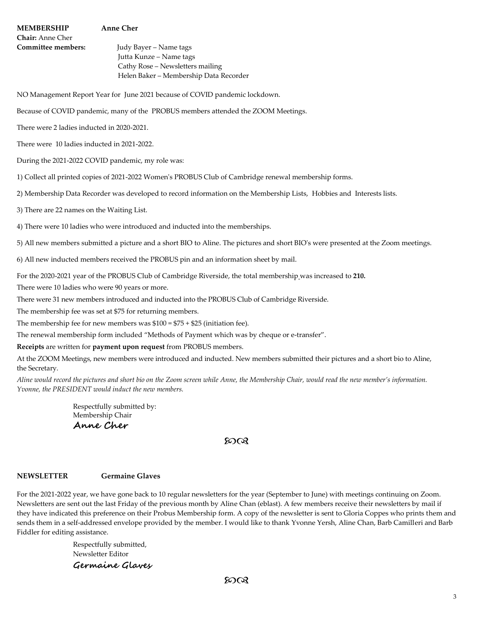# **MEMBERSHIP Anne Cher**

**Chair:** Anne Cher

**Committee members:** Judy Bayer – Name tags Jutta Kunze – Name tags Cathy Rose – Newsletters mailing Helen Baker – Membership Data Recorder

NO Management Report Year for June 2021 because of COVID pandemic lockdown.

Because of COVID pandemic, many of the PROBUS members attended the ZOOM Meetings.

There were 2 ladies inducted in 2020-2021.

There were 10 ladies inducted in 2021-2022.

During the 2021-2022 COVID pandemic, my role was:

1) Collect all printed copies of 2021-2022 Women's PROBUS Club of Cambridge renewal membership forms.

2) Membership Data Recorder was developed to record information on the Membership Lists, Hobbies and Interests lists.

3) There are 22 names on the Waiting List.

4) There were 10 ladies who were introduced and inducted into the memberships.

5) All new members submitted a picture and a short BIO to Aline. The pictures and short BIO's were presented at the Zoom meetings.

6) All new inducted members received the PROBUS pin and an information sheet by mail.

For the 2020-2021 year of the PROBUS Club of Cambridge Riverside, the total membership was increased to **210.**

There were 10 ladies who were 90 years or more.

There were 31 new members introduced and inducted into the PROBUS Club of Cambridge Riverside.

The membership fee was set at \$75 for returning members.

The membership fee for new members was  $$100 = $75 + $25$  (initiation fee).

The renewal membership form included "Methods of Payment which was by cheque or e-transfer".

**Receipts** are written for **payment upon request** from PROBUS members.

At the ZOOM Meetings, new members were introduced and inducted. New members submitted their pictures and a short bio to Aline, the Secretary.

*Aline would record the pictures and short bio on the Zoom screen while Anne, the Membership Chair, would read the new member's information. Yvonne, the PRESIDENT would induct the new members.*

> Respectfully submitted by: Membership Chair **Anne Cher**

# တလ

## **NEWSLETTER Germaine Glaves**

For the 2021-2022 year, we have gone back to 10 regular newsletters for the year (September to June) with meetings continuing on Zoom. Newsletters are sent out the last Friday of the previous month by Aline Chan (eblast). A few members receive their newsletters by mail if they have indicated this preference on their Probus Membership form. A copy of the newsletter is sent to Gloria Coppes who prints them and sends them in a self-addressed envelope provided by the member. I would like to thank Yvonne Yersh, Aline Chan, Barb Camilleri and Barb Fiddler for editing assistance.

> Respectfully submitted, Newsletter Editor **Germaine Glaves**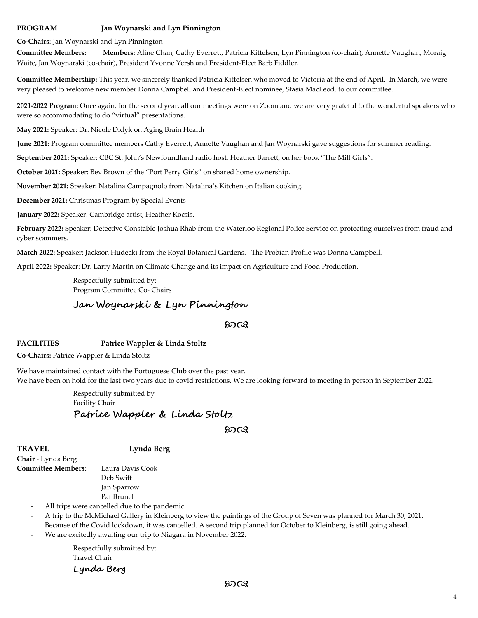# **PROGRAM Jan Woynarski and Lyn Pinnington**

**Co-Chairs**: Jan Woynarski and Lyn Pinnington

**Committee Members: Members:** Aline Chan, Cathy Everrett, Patricia Kittelsen, Lyn Pinnington (co-chair), Annette Vaughan, Moraig Waite, Jan Woynarski (co-chair), President Yvonne Yersh and President-Elect Barb Fiddler.

**Committee Membership:** This year, we sincerely thanked Patricia Kittelsen who moved to Victoria at the end of April. In March, we were very pleased to welcome new member Donna Campbell and President-Elect nominee, Stasia MacLeod, to our committee.

**2021-2022 Program:** Once again, for the second year, all our meetings were on Zoom and we are very grateful to the wonderful speakers who were so accommodating to do "virtual" presentations.

**May 2021:** Speaker: Dr. Nicole Didyk on Aging Brain Health

**June 2021:** Program committee members Cathy Everrett, Annette Vaughan and Jan Woynarski gave suggestions for summer reading.

**September 2021:** Speaker: CBC St. John's Newfoundland radio host, Heather Barrett, on her book "The Mill Girls".

**October 2021:** Speaker: Bev Brown of the "Port Perry Girls" on shared home ownership.

**November 2021:** Speaker: Natalina Campagnolo from Natalina's Kitchen on Italian cooking.

**December 2021:** Christmas Program by Special Events

**January 2022:** Speaker: Cambridge artist, Heather Kocsis.

**February 2022:** Speaker: Detective Constable Joshua Rhab from the Waterloo Regional Police Service on protecting ourselves from fraud and cyber scammers.

**March 2022:** Speaker: Jackson Hudecki from the Royal Botanical Gardens. The Probian Profile was Donna Campbell.

**April 2022:** Speaker: Dr. Larry Martin on Climate Change and its impact on Agriculture and Food Production.

Respectfully submitted by: Program Committee Co- Chairs

# **Jan Woynarski & Lyn Pinnington**

## ഗ്രൈ

## **FACILITIES Patrice Wappler & Linda Stoltz**

**Co-Chairs:** Patrice Wappler & Linda Stoltz

We have maintained contact with the Portuguese Club over the past year. We have been on hold for the last two years due to covid restrictions. We are looking forward to meeting in person in September 2022.

> Respectfully submitted by Facility Chair **Patrice Wappler & Linda Stoltz**

## တလ

**TRAVEL Lynda Berg**

**Chair** - Lynda Berg **Committee Members**: Laura Davis Cook

Deb Swift

Jan Sparrow Pat Brunel

All trips were cancelled due to the pandemic.

- A trip to the McMichael Gallery in Kleinberg to view the paintings of the Group of Seven was planned for March 30, 2021. Because of the Covid lockdown, it was cancelled. A second trip planned for October to Kleinberg, is still going ahead.
- We are excitedly awaiting our trip to Niagara in November 2022.

Respectfully submitted by: Travel Chair **Lynda Berg**